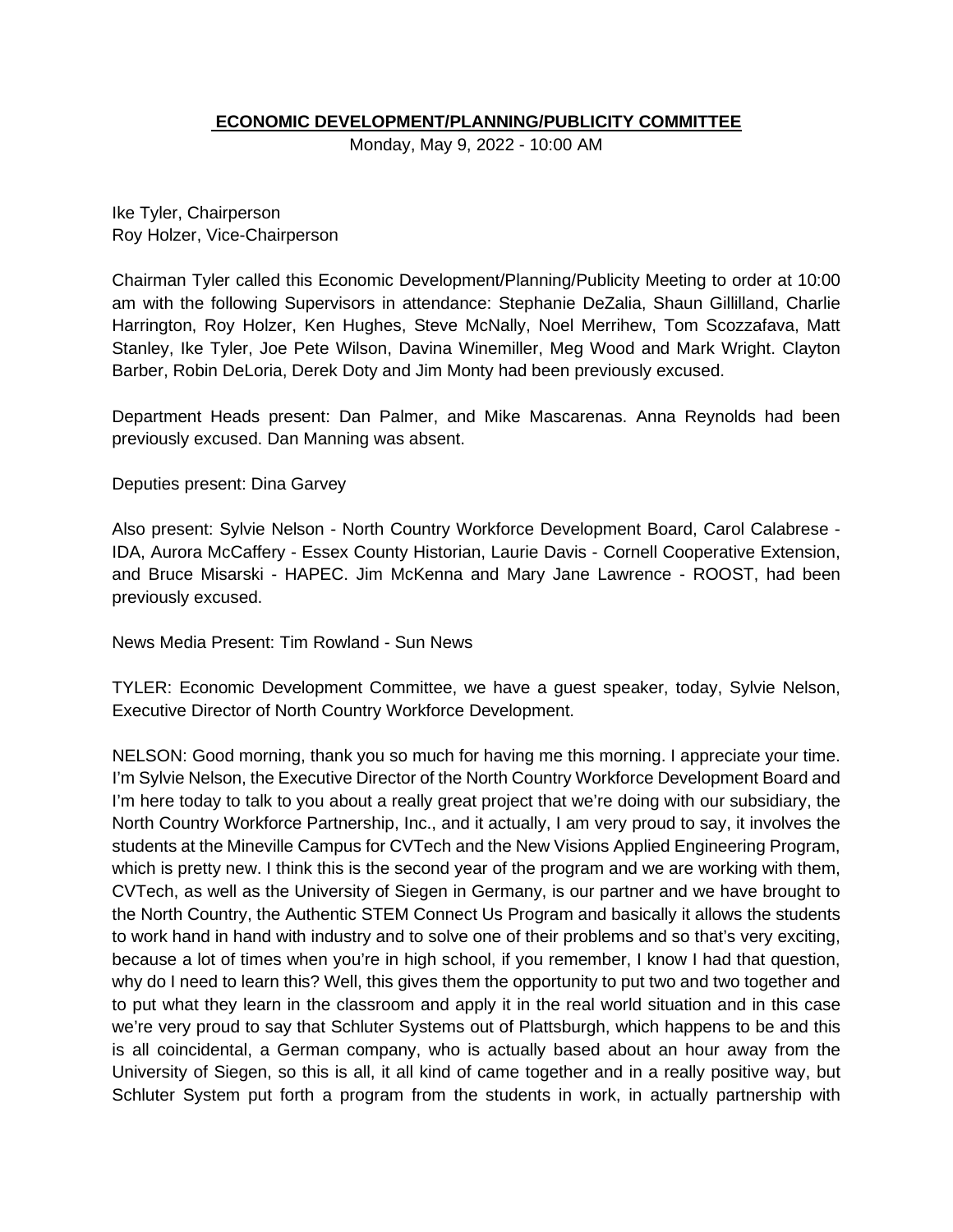## **ECONOMIC DEVELOPMENT/PLANNING/PUBLICITY COMMITTEE**

Monday, May 9, 2022 - 10:00 AM

Ike Tyler, Chairperson Roy Holzer, Vice-Chairperson

Chairman Tyler called this Economic Development/Planning/Publicity Meeting to order at 10:00 am with the following Supervisors in attendance: Stephanie DeZalia, Shaun Gillilland, Charlie Harrington, Roy Holzer, Ken Hughes, Steve McNally, Noel Merrihew, Tom Scozzafava, Matt Stanley, Ike Tyler, Joe Pete Wilson, Davina Winemiller, Meg Wood and Mark Wright. Clayton Barber, Robin DeLoria, Derek Doty and Jim Monty had been previously excused.

Department Heads present: Dan Palmer, and Mike Mascarenas. Anna Reynolds had been previously excused. Dan Manning was absent.

Deputies present: Dina Garvey

Also present: Sylvie Nelson - North Country Workforce Development Board, Carol Calabrese - IDA, Aurora McCaffery - Essex County Historian, Laurie Davis - Cornell Cooperative Extension, and Bruce Misarski - HAPEC. Jim McKenna and Mary Jane Lawrence - ROOST, had been previously excused.

News Media Present: Tim Rowland - Sun News

TYLER: Economic Development Committee, we have a guest speaker, today, Sylvie Nelson, Executive Director of North Country Workforce Development.

NELSON: Good morning, thank you so much for having me this morning. I appreciate your time. I'm Sylvie Nelson, the Executive Director of the North Country Workforce Development Board and I'm here today to talk to you about a really great project that we're doing with our subsidiary, the North Country Workforce Partnership, Inc., and it actually, I am very proud to say, it involves the students at the Mineville Campus for CVTech and the New Visions Applied Engineering Program, which is pretty new. I think this is the second year of the program and we are working with them, CVTech, as well as the University of Siegen in Germany, is our partner and we have brought to the North Country, the Authentic STEM Connect Us Program and basically it allows the students to work hand in hand with industry and to solve one of their problems and so that's very exciting, because a lot of times when you're in high school, if you remember, I know I had that question, why do I need to learn this? Well, this gives them the opportunity to put two and two together and to put what they learn in the classroom and apply it in the real world situation and in this case we're very proud to say that Schluter Systems out of Plattsburgh, which happens to be and this is all coincidental, a German company, who is actually based about an hour away from the University of Siegen, so this is all, it all kind of came together and in a really positive way, but Schluter System put forth a program from the students in work, in actually partnership with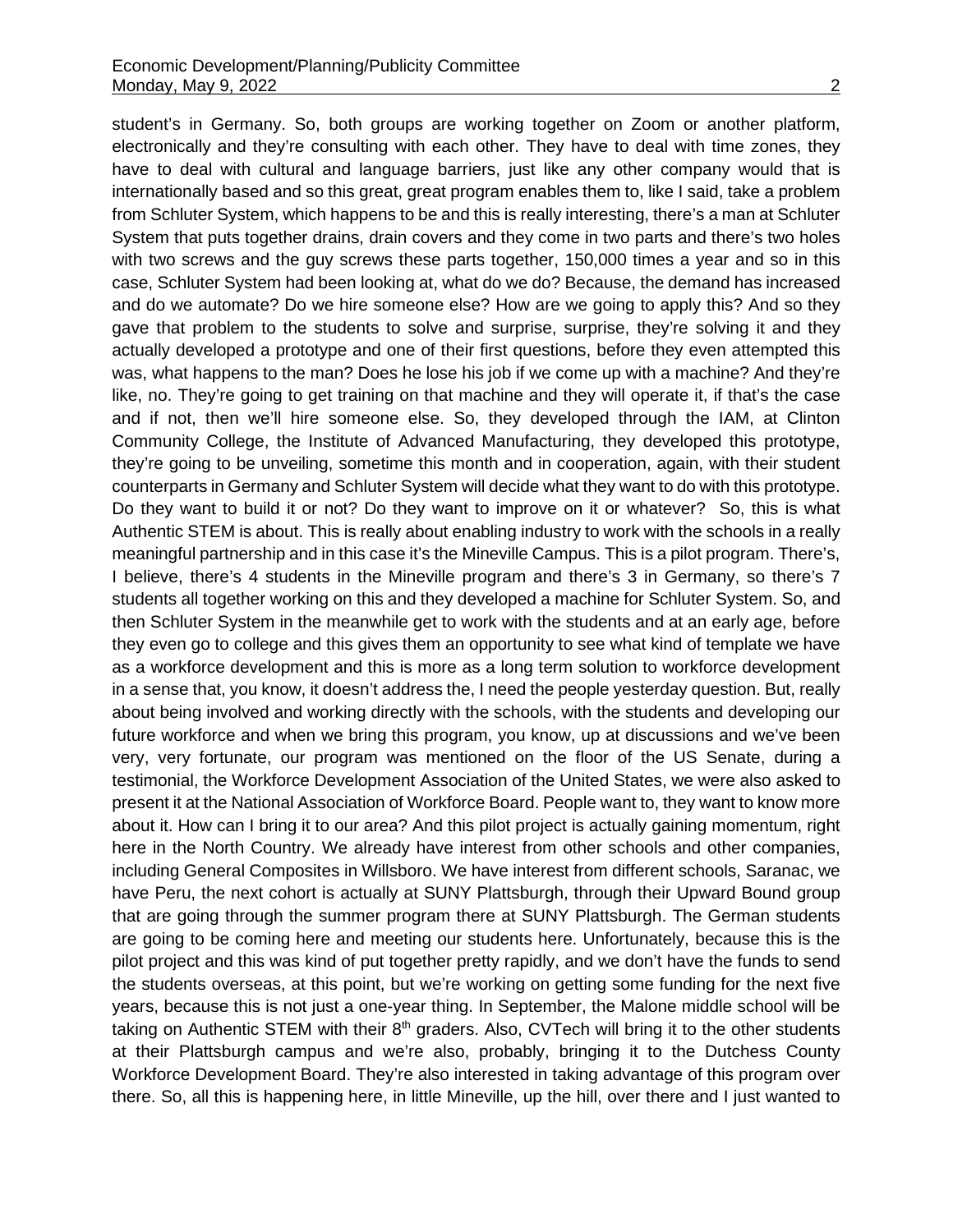student's in Germany. So, both groups are working together on Zoom or another platform, electronically and they're consulting with each other. They have to deal with time zones, they have to deal with cultural and language barriers, just like any other company would that is internationally based and so this great, great program enables them to, like I said, take a problem from Schluter System, which happens to be and this is really interesting, there's a man at Schluter System that puts together drains, drain covers and they come in two parts and there's two holes with two screws and the guy screws these parts together, 150,000 times a year and so in this case, Schluter System had been looking at, what do we do? Because, the demand has increased and do we automate? Do we hire someone else? How are we going to apply this? And so they gave that problem to the students to solve and surprise, surprise, they're solving it and they actually developed a prototype and one of their first questions, before they even attempted this was, what happens to the man? Does he lose his job if we come up with a machine? And they're like, no. They're going to get training on that machine and they will operate it, if that's the case and if not, then we'll hire someone else. So, they developed through the IAM, at Clinton Community College, the Institute of Advanced Manufacturing, they developed this prototype, they're going to be unveiling, sometime this month and in cooperation, again, with their student counterparts in Germany and Schluter System will decide what they want to do with this prototype. Do they want to build it or not? Do they want to improve on it or whatever? So, this is what Authentic STEM is about. This is really about enabling industry to work with the schools in a really meaningful partnership and in this case it's the Mineville Campus. This is a pilot program. There's, I believe, there's 4 students in the Mineville program and there's 3 in Germany, so there's 7 students all together working on this and they developed a machine for Schluter System. So, and then Schluter System in the meanwhile get to work with the students and at an early age, before they even go to college and this gives them an opportunity to see what kind of template we have as a workforce development and this is more as a long term solution to workforce development in a sense that, you know, it doesn't address the, I need the people yesterday question. But, really about being involved and working directly with the schools, with the students and developing our future workforce and when we bring this program, you know, up at discussions and we've been very, very fortunate, our program was mentioned on the floor of the US Senate, during a testimonial, the Workforce Development Association of the United States, we were also asked to present it at the National Association of Workforce Board. People want to, they want to know more about it. How can I bring it to our area? And this pilot project is actually gaining momentum, right here in the North Country. We already have interest from other schools and other companies, including General Composites in Willsboro. We have interest from different schools, Saranac, we have Peru, the next cohort is actually at SUNY Plattsburgh, through their Upward Bound group that are going through the summer program there at SUNY Plattsburgh. The German students are going to be coming here and meeting our students here. Unfortunately, because this is the pilot project and this was kind of put together pretty rapidly, and we don't have the funds to send the students overseas, at this point, but we're working on getting some funding for the next five years, because this is not just a one-year thing. In September, the Malone middle school will be taking on Authentic STEM with their 8<sup>th</sup> graders. Also, CVTech will bring it to the other students at their Plattsburgh campus and we're also, probably, bringing it to the Dutchess County Workforce Development Board. They're also interested in taking advantage of this program over

there. So, all this is happening here, in little Mineville, up the hill, over there and I just wanted to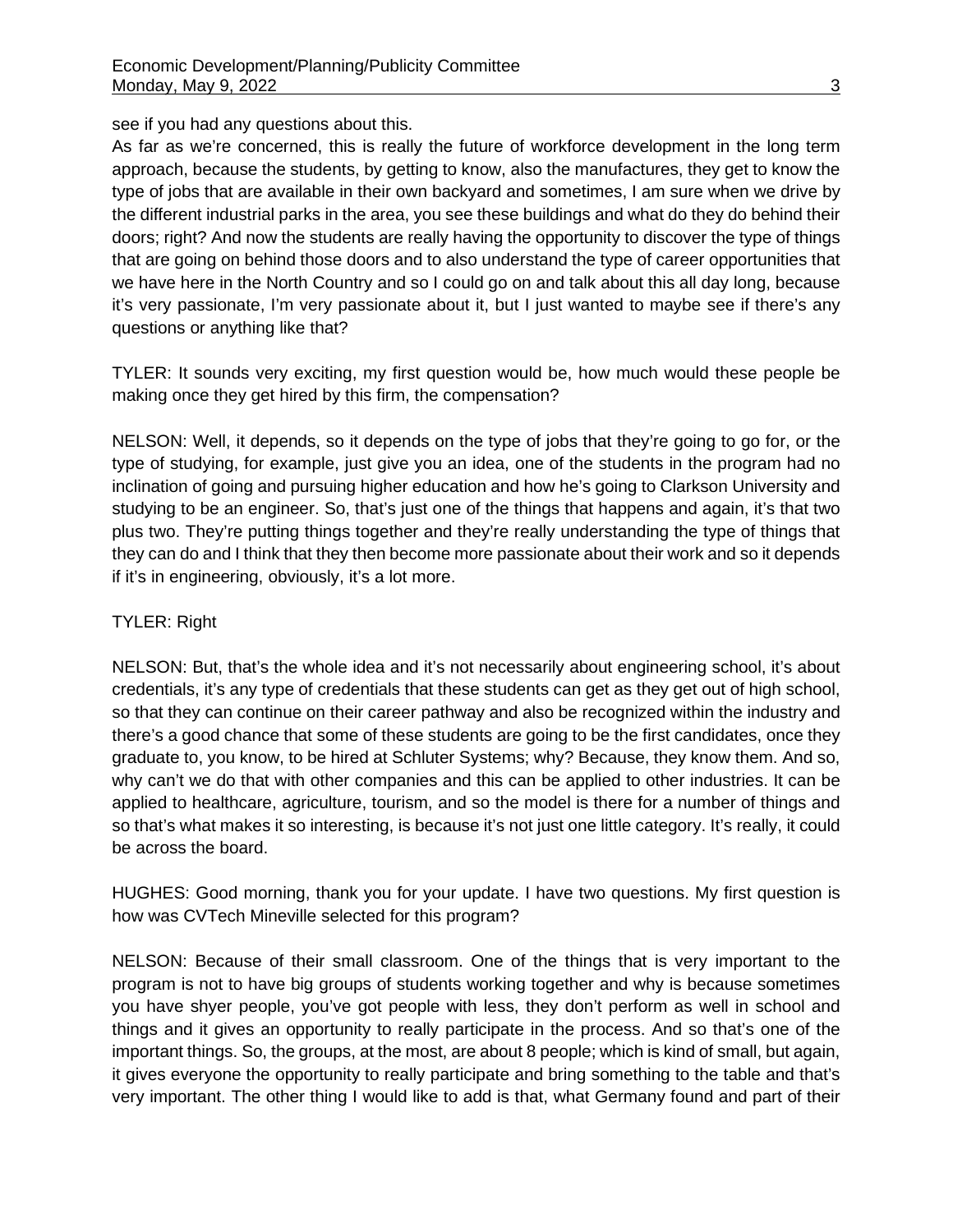see if you had any questions about this.

As far as we're concerned, this is really the future of workforce development in the long term approach, because the students, by getting to know, also the manufactures, they get to know the type of jobs that are available in their own backyard and sometimes, I am sure when we drive by the different industrial parks in the area, you see these buildings and what do they do behind their doors; right? And now the students are really having the opportunity to discover the type of things that are going on behind those doors and to also understand the type of career opportunities that we have here in the North Country and so I could go on and talk about this all day long, because it's very passionate, I'm very passionate about it, but I just wanted to maybe see if there's any questions or anything like that?

TYLER: It sounds very exciting, my first question would be, how much would these people be making once they get hired by this firm, the compensation?

NELSON: Well, it depends, so it depends on the type of jobs that they're going to go for, or the type of studying, for example, just give you an idea, one of the students in the program had no inclination of going and pursuing higher education and how he's going to Clarkson University and studying to be an engineer. So, that's just one of the things that happens and again, it's that two plus two. They're putting things together and they're really understanding the type of things that they can do and I think that they then become more passionate about their work and so it depends if it's in engineering, obviously, it's a lot more.

# TYLER: Right

NELSON: But, that's the whole idea and it's not necessarily about engineering school, it's about credentials, it's any type of credentials that these students can get as they get out of high school, so that they can continue on their career pathway and also be recognized within the industry and there's a good chance that some of these students are going to be the first candidates, once they graduate to, you know, to be hired at Schluter Systems; why? Because, they know them. And so, why can't we do that with other companies and this can be applied to other industries. It can be applied to healthcare, agriculture, tourism, and so the model is there for a number of things and so that's what makes it so interesting, is because it's not just one little category. It's really, it could be across the board.

HUGHES: Good morning, thank you for your update. I have two questions. My first question is how was CVTech Mineville selected for this program?

NELSON: Because of their small classroom. One of the things that is very important to the program is not to have big groups of students working together and why is because sometimes you have shyer people, you've got people with less, they don't perform as well in school and things and it gives an opportunity to really participate in the process. And so that's one of the important things. So, the groups, at the most, are about 8 people; which is kind of small, but again, it gives everyone the opportunity to really participate and bring something to the table and that's very important. The other thing I would like to add is that, what Germany found and part of their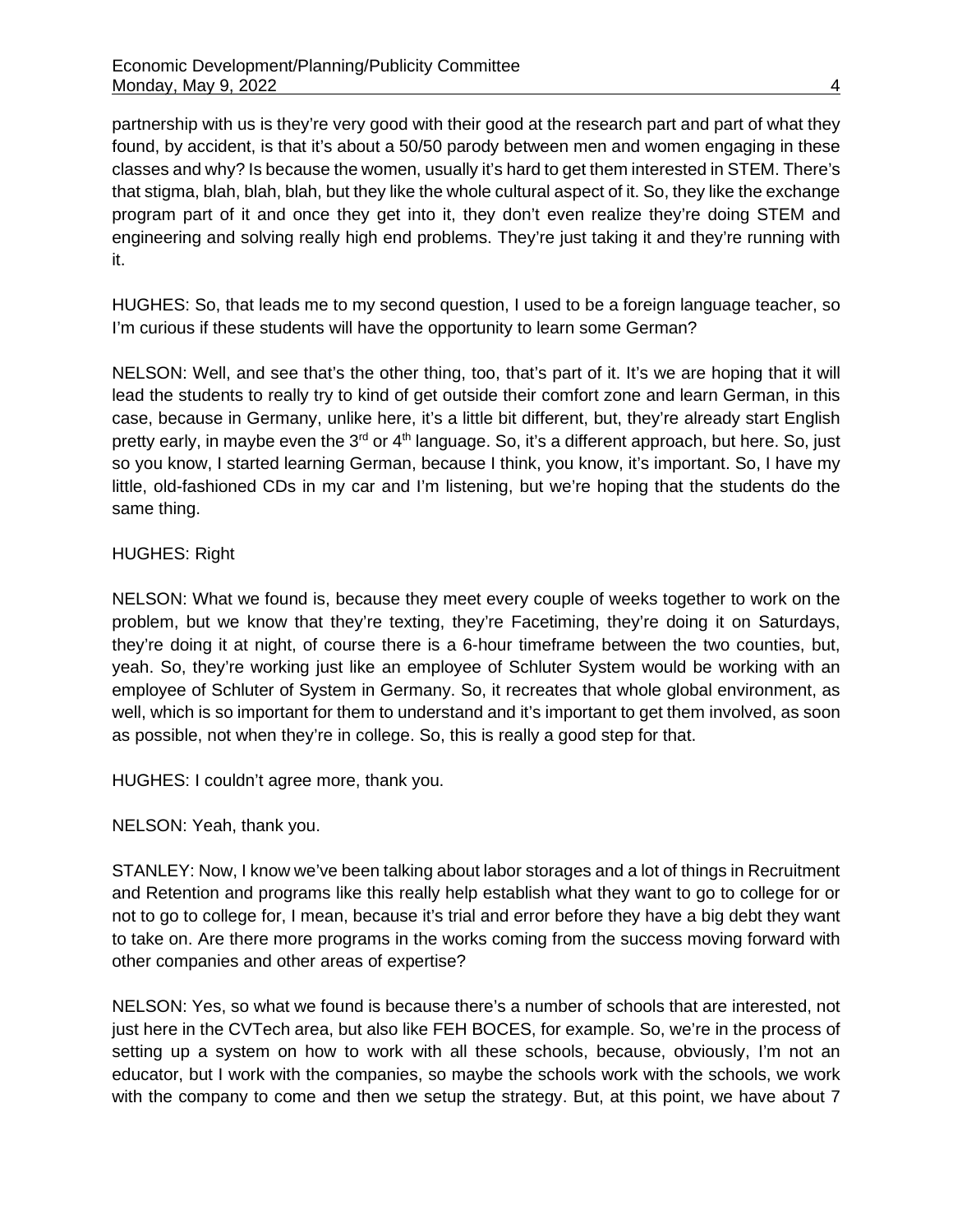partnership with us is they're very good with their good at the research part and part of what they found, by accident, is that it's about a 50/50 parody between men and women engaging in these classes and why? Is because the women, usually it's hard to get them interested in STEM. There's that stigma, blah, blah, blah, but they like the whole cultural aspect of it. So, they like the exchange program part of it and once they get into it, they don't even realize they're doing STEM and engineering and solving really high end problems. They're just taking it and they're running with it.

HUGHES: So, that leads me to my second question, I used to be a foreign language teacher, so I'm curious if these students will have the opportunity to learn some German?

NELSON: Well, and see that's the other thing, too, that's part of it. It's we are hoping that it will lead the students to really try to kind of get outside their comfort zone and learn German, in this case, because in Germany, unlike here, it's a little bit different, but, they're already start English pretty early, in maybe even the  $3<sup>rd</sup>$  or  $4<sup>th</sup>$  language. So, it's a different approach, but here. So, just so you know, I started learning German, because I think, you know, it's important. So, I have my little, old-fashioned CDs in my car and I'm listening, but we're hoping that the students do the same thing.

# HUGHES: Right

NELSON: What we found is, because they meet every couple of weeks together to work on the problem, but we know that they're texting, they're Facetiming, they're doing it on Saturdays, they're doing it at night, of course there is a 6-hour timeframe between the two counties, but, yeah. So, they're working just like an employee of Schluter System would be working with an employee of Schluter of System in Germany. So, it recreates that whole global environment, as well, which is so important for them to understand and it's important to get them involved, as soon as possible, not when they're in college. So, this is really a good step for that.

HUGHES: I couldn't agree more, thank you.

## NELSON: Yeah, thank you.

STANLEY: Now, I know we've been talking about labor storages and a lot of things in Recruitment and Retention and programs like this really help establish what they want to go to college for or not to go to college for, I mean, because it's trial and error before they have a big debt they want to take on. Are there more programs in the works coming from the success moving forward with other companies and other areas of expertise?

NELSON: Yes, so what we found is because there's a number of schools that are interested, not just here in the CVTech area, but also like FEH BOCES, for example. So, we're in the process of setting up a system on how to work with all these schools, because, obviously, I'm not an educator, but I work with the companies, so maybe the schools work with the schools, we work with the company to come and then we setup the strategy. But, at this point, we have about 7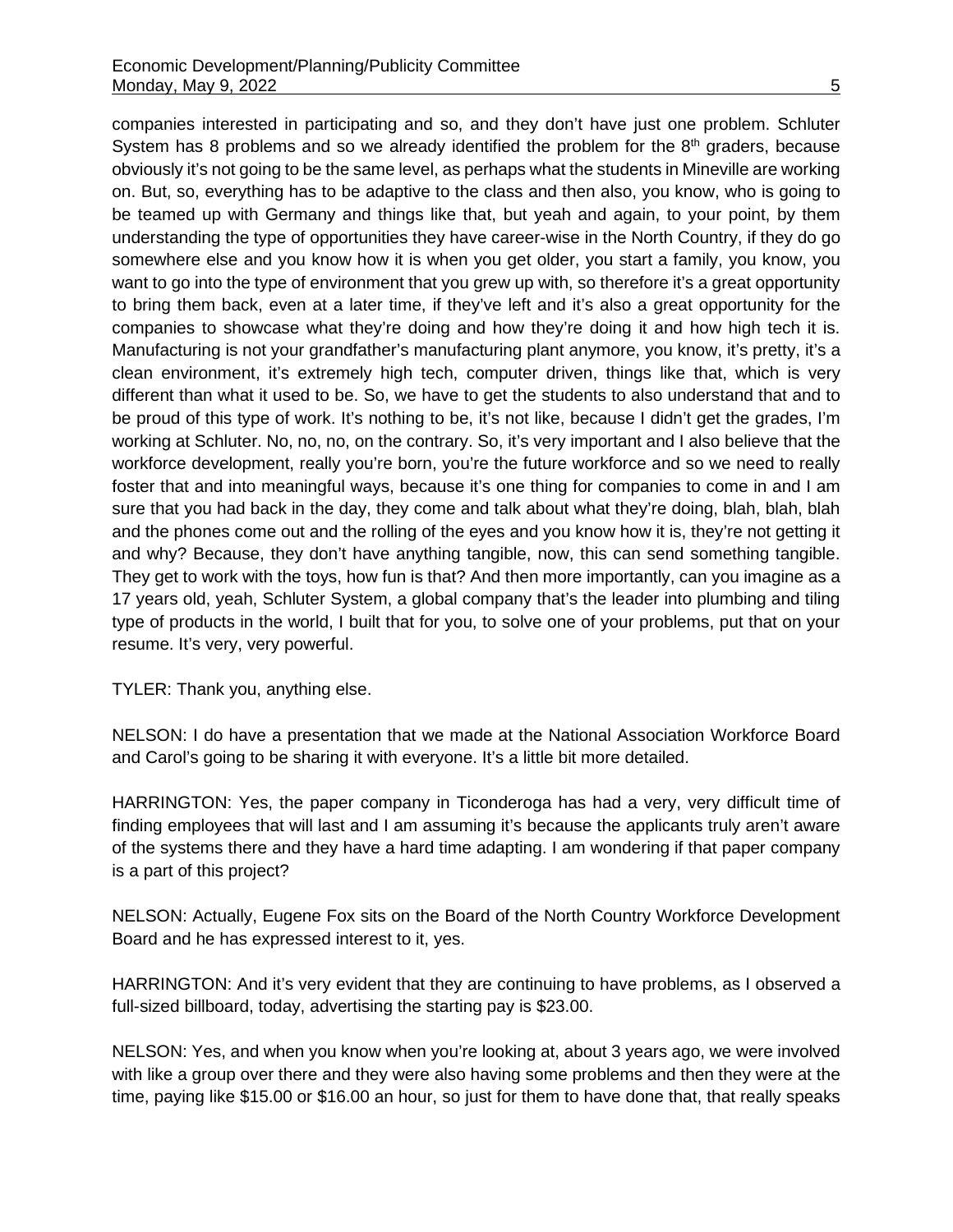companies interested in participating and so, and they don't have just one problem. Schluter System has 8 problems and so we already identified the problem for the  $8<sup>th</sup>$  graders, because obviously it's not going to be the same level, as perhaps what the students in Mineville are working on. But, so, everything has to be adaptive to the class and then also, you know, who is going to be teamed up with Germany and things like that, but yeah and again, to your point, by them understanding the type of opportunities they have career-wise in the North Country, if they do go somewhere else and you know how it is when you get older, you start a family, you know, you want to go into the type of environment that you grew up with, so therefore it's a great opportunity to bring them back, even at a later time, if they've left and it's also a great opportunity for the companies to showcase what they're doing and how they're doing it and how high tech it is. Manufacturing is not your grandfather's manufacturing plant anymore, you know, it's pretty, it's a clean environment, it's extremely high tech, computer driven, things like that, which is very different than what it used to be. So, we have to get the students to also understand that and to be proud of this type of work. It's nothing to be, it's not like, because I didn't get the grades, I'm working at Schluter. No, no, no, on the contrary. So, it's very important and I also believe that the workforce development, really you're born, you're the future workforce and so we need to really foster that and into meaningful ways, because it's one thing for companies to come in and I am sure that you had back in the day, they come and talk about what they're doing, blah, blah, blah and the phones come out and the rolling of the eyes and you know how it is, they're not getting it and why? Because, they don't have anything tangible, now, this can send something tangible. They get to work with the toys, how fun is that? And then more importantly, can you imagine as a 17 years old, yeah, Schluter System, a global company that's the leader into plumbing and tiling type of products in the world, I built that for you, to solve one of your problems, put that on your resume. It's very, very powerful.

TYLER: Thank you, anything else.

NELSON: I do have a presentation that we made at the National Association Workforce Board and Carol's going to be sharing it with everyone. It's a little bit more detailed.

HARRINGTON: Yes, the paper company in Ticonderoga has had a very, very difficult time of finding employees that will last and I am assuming it's because the applicants truly aren't aware of the systems there and they have a hard time adapting. I am wondering if that paper company is a part of this project?

NELSON: Actually, Eugene Fox sits on the Board of the North Country Workforce Development Board and he has expressed interest to it, yes.

HARRINGTON: And it's very evident that they are continuing to have problems, as I observed a full-sized billboard, today, advertising the starting pay is \$23.00.

NELSON: Yes, and when you know when you're looking at, about 3 years ago, we were involved with like a group over there and they were also having some problems and then they were at the time, paying like \$15.00 or \$16.00 an hour, so just for them to have done that, that really speaks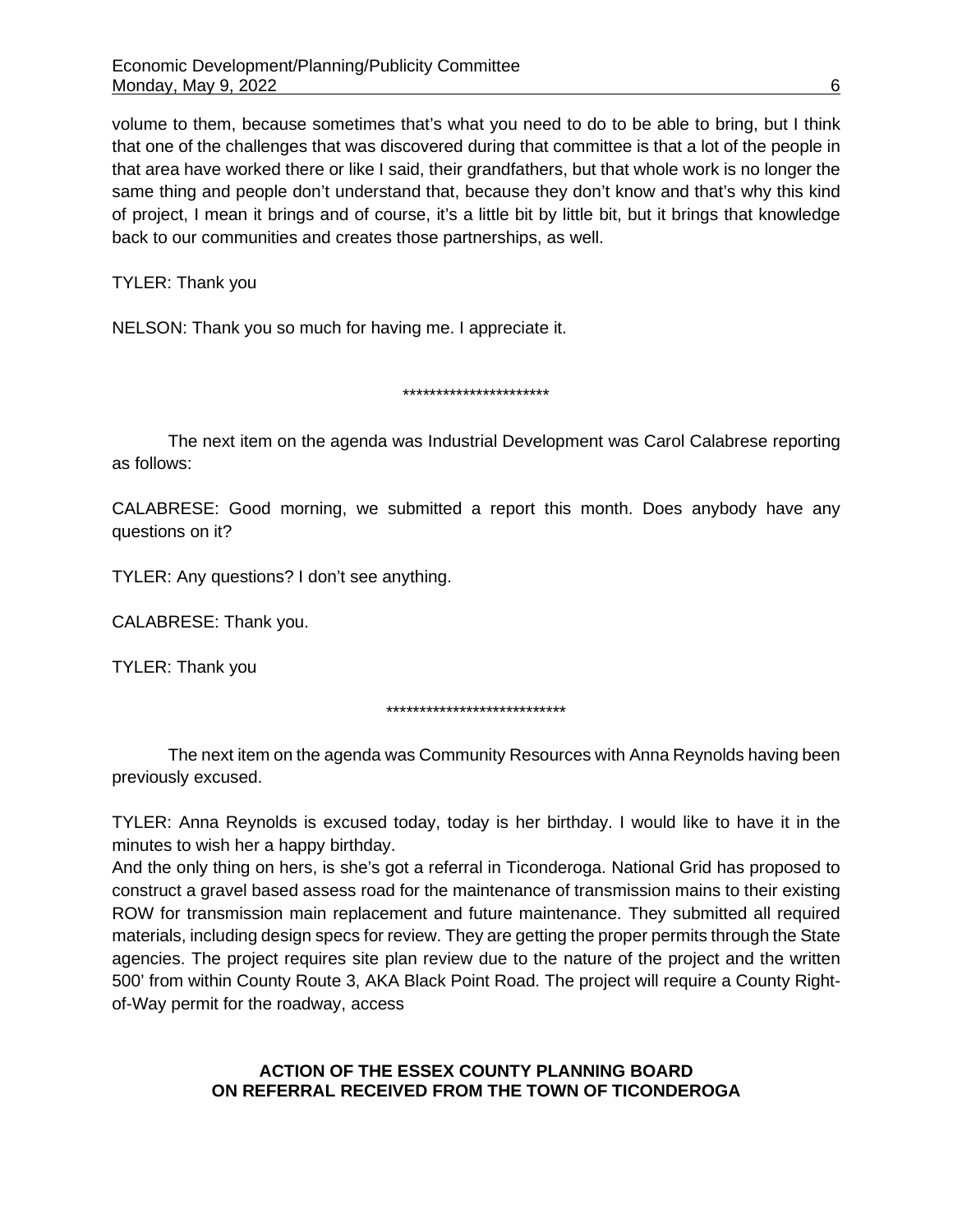volume to them, because sometimes that's what you need to do to be able to bring, but I think that one of the challenges that was discovered during that committee is that a lot of the people in that area have worked there or like I said, their grandfathers, but that whole work is no longer the same thing and people don't understand that, because they don't know and that's why this kind of project, I mean it brings and of course, it's a little bit by little bit, but it brings that knowledge back to our communities and creates those partnerships, as well.

TYLER: Thank you

NELSON: Thank you so much for having me. I appreciate it.

\*\*\*\*\*\*\*\*\*\*\*\*\*\*\*\*\*\*\*\*\*\*

The next item on the agenda was Industrial Development was Carol Calabrese reporting as follows:

CALABRESE: Good morning, we submitted a report this month. Does anybody have any questions on it?

TYLER: Any questions? I don't see anything.

CALABRESE: Thank you.

TYLER: Thank you

\*\*\*\*\*\*\*\*\*\*\*\*\*\*\*\*\*\*\*\*\*\*\*\*\*\*\*

The next item on the agenda was Community Resources with Anna Reynolds having been previously excused.

TYLER: Anna Reynolds is excused today, today is her birthday. I would like to have it in the minutes to wish her a happy birthday.

And the only thing on hers, is she's got a referral in Ticonderoga. National Grid has proposed to construct a gravel based assess road for the maintenance of transmission mains to their existing ROW for transmission main replacement and future maintenance. They submitted all required materials, including design specs for review. They are getting the proper permits through the State agencies. The project requires site plan review due to the nature of the project and the written 500' from within County Route 3, AKA Black Point Road. The project will require a County Rightof-Way permit for the roadway, access

# **ACTION OF THE ESSEX COUNTY PLANNING BOARD ON REFERRAL RECEIVED FROM THE TOWN OF TICONDEROGA**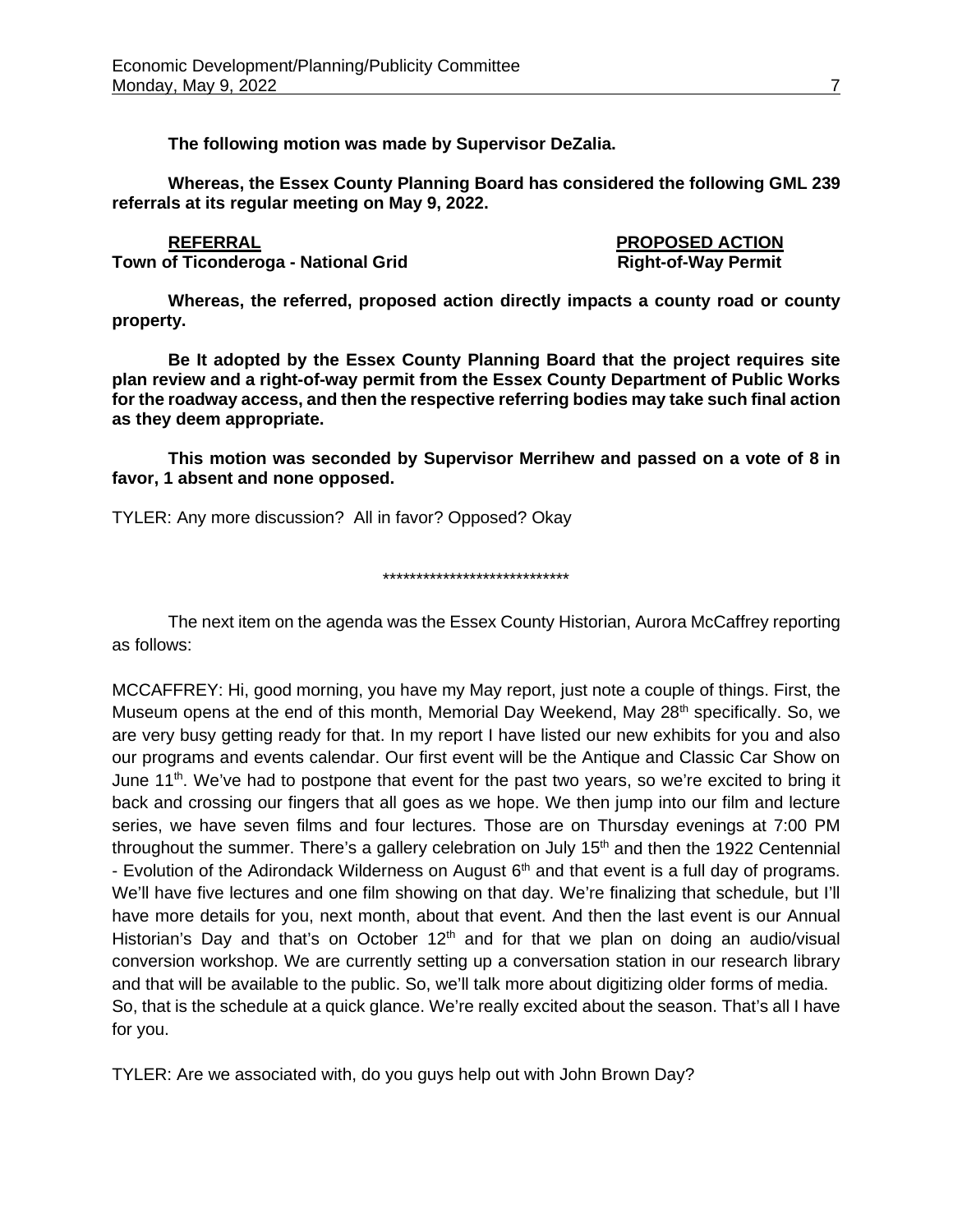**The following motion was made by Supervisor DeZalia.**

**Whereas, the Essex County Planning Board has considered the following GML 239 referrals at its regular meeting on May 9, 2022.**

# **Town of Ticonderoga - National Grid**

**property.**

**REFERRAL PROPOSED ACTION**

**Whereas, the referred, proposed action directly impacts a county road or county** 

**Be It adopted by the Essex County Planning Board that the project requires site plan review and a right-of-way permit from the Essex County Department of Public Works for the roadway access, and then the respective referring bodies may take such final action as they deem appropriate.**

**This motion was seconded by Supervisor Merrihew and passed on a vote of 8 in favor, 1 absent and none opposed.**

TYLER: Any more discussion? All in favor? Opposed? Okay

\*\*\*\*\*\*\*\*\*\*\*\*\*\*\*\*\*\*\*\*\*\*\*\*\*\*\*\*

The next item on the agenda was the Essex County Historian, Aurora McCaffrey reporting as follows:

MCCAFFREY: Hi, good morning, you have my May report, just note a couple of things. First, the Museum opens at the end of this month, Memorial Day Weekend, May 28<sup>th</sup> specifically. So, we are very busy getting ready for that. In my report I have listed our new exhibits for you and also our programs and events calendar. Our first event will be the Antique and Classic Car Show on June 11<sup>th</sup>. We've had to postpone that event for the past two years, so we're excited to bring it back and crossing our fingers that all goes as we hope. We then jump into our film and lecture series, we have seven films and four lectures. Those are on Thursday evenings at 7:00 PM throughout the summer. There's a gallery celebration on July  $15<sup>th</sup>$  and then the 1922 Centennial - Evolution of the Adirondack Wilderness on August 6<sup>th</sup> and that event is a full day of programs. We'll have five lectures and one film showing on that day. We're finalizing that schedule, but I'll have more details for you, next month, about that event. And then the last event is our Annual Historian's Day and that's on October  $12<sup>th</sup>$  and for that we plan on doing an audio/visual conversion workshop. We are currently setting up a conversation station in our research library and that will be available to the public. So, we'll talk more about digitizing older forms of media. So, that is the schedule at a quick glance. We're really excited about the season. That's all I have for you.

TYLER: Are we associated with, do you guys help out with John Brown Day?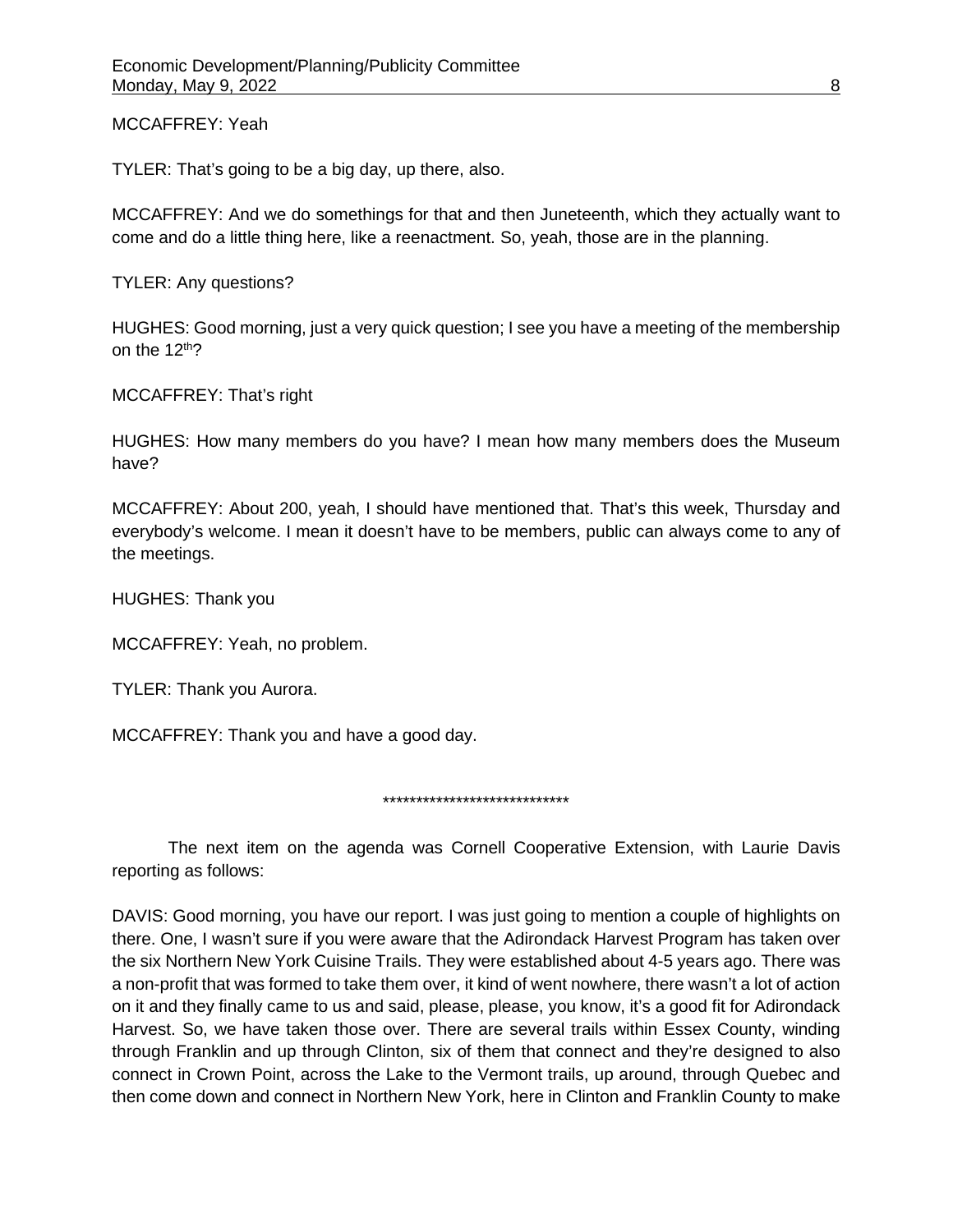MCCAFFREY: Yeah

TYLER: That's going to be a big day, up there, also.

MCCAFFREY: And we do somethings for that and then Juneteenth, which they actually want to come and do a little thing here, like a reenactment. So, yeah, those are in the planning.

TYLER: Any questions?

HUGHES: Good morning, just a very quick question; I see you have a meeting of the membership on the  $12<sup>th</sup>$ ?

MCCAFFREY: That's right

HUGHES: How many members do you have? I mean how many members does the Museum have?

MCCAFFREY: About 200, yeah, I should have mentioned that. That's this week, Thursday and everybody's welcome. I mean it doesn't have to be members, public can always come to any of the meetings.

HUGHES: Thank you

MCCAFFREY: Yeah, no problem.

TYLER: Thank you Aurora.

MCCAFFREY: Thank you and have a good day.

\*\*\*\*\*\*\*\*\*\*\*\*\*\*\*\*\*\*\*\*\*\*\*\*\*\*\*\*

The next item on the agenda was Cornell Cooperative Extension, with Laurie Davis reporting as follows:

DAVIS: Good morning, you have our report. I was just going to mention a couple of highlights on there. One, I wasn't sure if you were aware that the Adirondack Harvest Program has taken over the six Northern New York Cuisine Trails. They were established about 4-5 years ago. There was a non-profit that was formed to take them over, it kind of went nowhere, there wasn't a lot of action on it and they finally came to us and said, please, please, you know, it's a good fit for Adirondack Harvest. So, we have taken those over. There are several trails within Essex County, winding through Franklin and up through Clinton, six of them that connect and they're designed to also connect in Crown Point, across the Lake to the Vermont trails, up around, through Quebec and then come down and connect in Northern New York, here in Clinton and Franklin County to make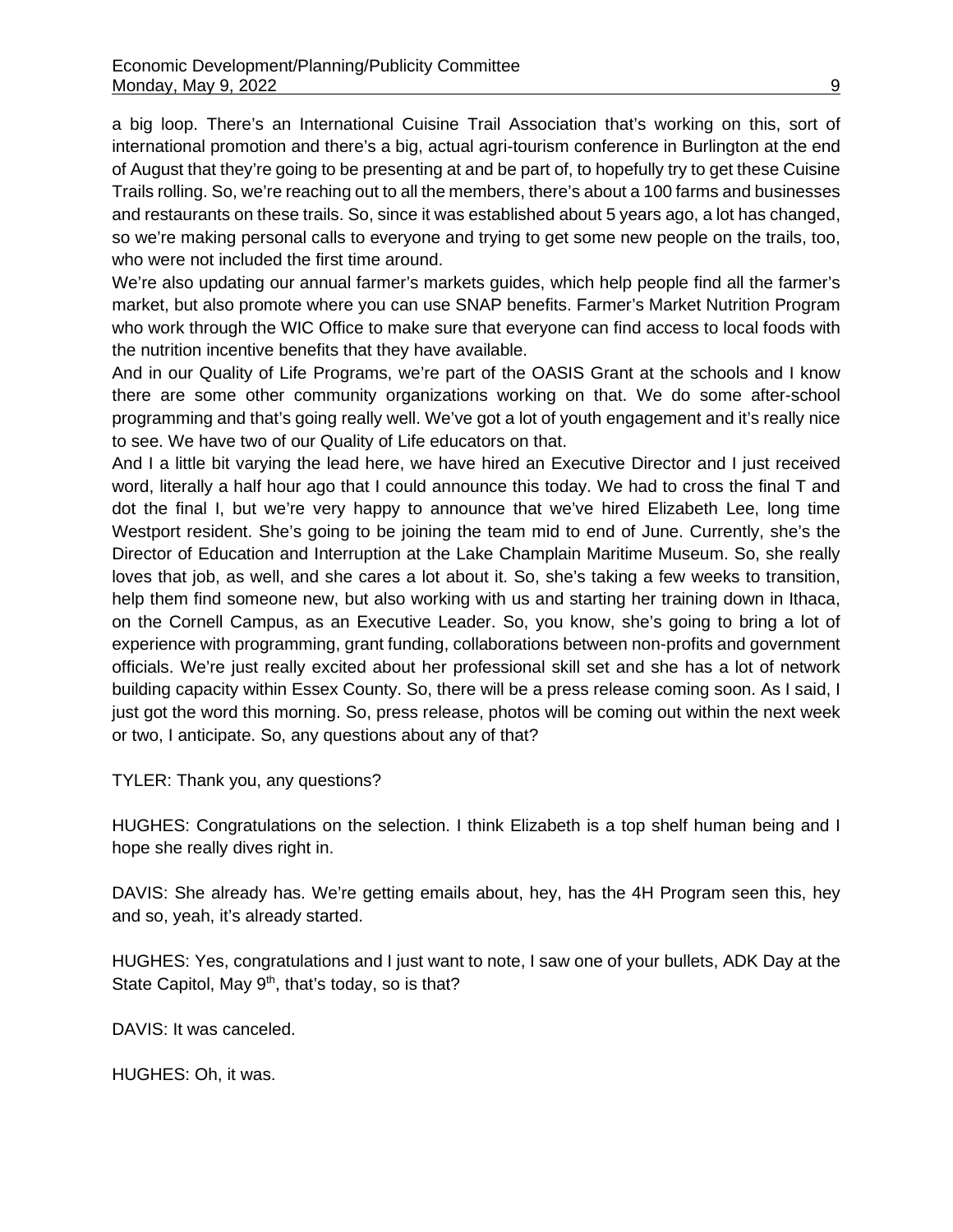a big loop. There's an International Cuisine Trail Association that's working on this, sort of international promotion and there's a big, actual agri-tourism conference in Burlington at the end of August that they're going to be presenting at and be part of, to hopefully try to get these Cuisine Trails rolling. So, we're reaching out to all the members, there's about a 100 farms and businesses and restaurants on these trails. So, since it was established about 5 years ago, a lot has changed, so we're making personal calls to everyone and trying to get some new people on the trails, too, who were not included the first time around.

We're also updating our annual farmer's markets guides, which help people find all the farmer's market, but also promote where you can use SNAP benefits. Farmer's Market Nutrition Program who work through the WIC Office to make sure that everyone can find access to local foods with the nutrition incentive benefits that they have available.

And in our Quality of Life Programs, we're part of the OASIS Grant at the schools and I know there are some other community organizations working on that. We do some after-school programming and that's going really well. We've got a lot of youth engagement and it's really nice to see. We have two of our Quality of Life educators on that.

And I a little bit varying the lead here, we have hired an Executive Director and I just received word, literally a half hour ago that I could announce this today. We had to cross the final T and dot the final I, but we're very happy to announce that we've hired Elizabeth Lee, long time Westport resident. She's going to be joining the team mid to end of June. Currently, she's the Director of Education and Interruption at the Lake Champlain Maritime Museum. So, she really loves that job, as well, and she cares a lot about it. So, she's taking a few weeks to transition, help them find someone new, but also working with us and starting her training down in Ithaca, on the Cornell Campus, as an Executive Leader. So, you know, she's going to bring a lot of experience with programming, grant funding, collaborations between non-profits and government officials. We're just really excited about her professional skill set and she has a lot of network building capacity within Essex County. So, there will be a press release coming soon. As I said, I just got the word this morning. So, press release, photos will be coming out within the next week or two, I anticipate. So, any questions about any of that?

TYLER: Thank you, any questions?

HUGHES: Congratulations on the selection. I think Elizabeth is a top shelf human being and I hope she really dives right in.

DAVIS: She already has. We're getting emails about, hey, has the 4H Program seen this, hey and so, yeah, it's already started.

HUGHES: Yes, congratulations and I just want to note, I saw one of your bullets, ADK Day at the State Capitol, May 9<sup>th</sup>, that's today, so is that?

DAVIS: It was canceled.

HUGHES: Oh, it was.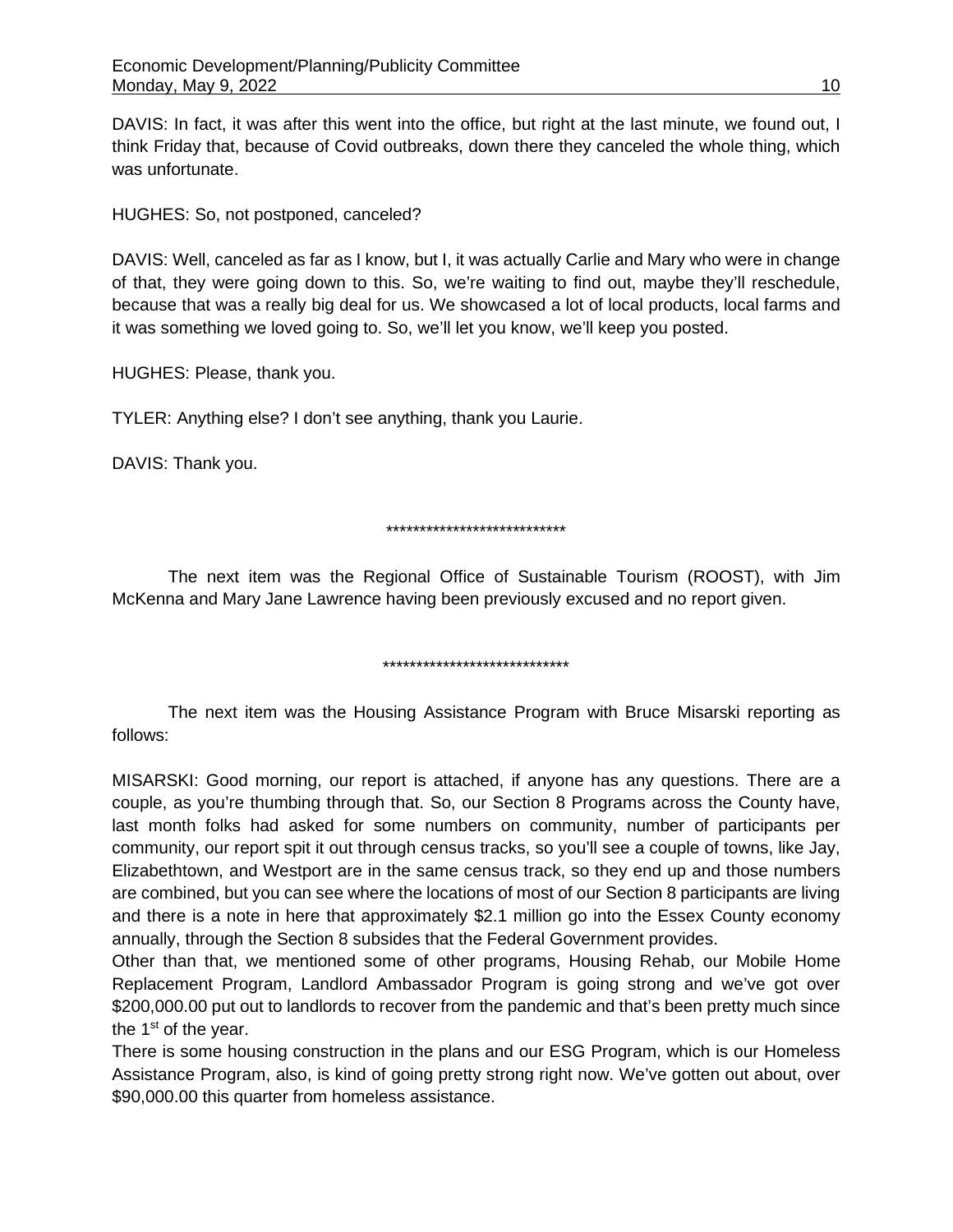DAVIS: In fact, it was after this went into the office, but right at the last minute, we found out, I think Friday that, because of Covid outbreaks, down there they canceled the whole thing, which was unfortunate.

HUGHES: So, not postponed, canceled?

DAVIS: Well, canceled as far as I know, but I, it was actually Carlie and Mary who were in change of that, they were going down to this. So, we're waiting to find out, maybe they'll reschedule, because that was a really big deal for us. We showcased a lot of local products, local farms and it was something we loved going to. So, we'll let you know, we'll keep you posted.

HUGHES: Please, thank you.

TYLER: Anything else? I don't see anything, thank you Laurie.

DAVIS: Thank you.

## \*\*\*\*\*\*\*\*\*\*\*\*\*\*\*\*\*\*\*\*\*\*\*\*\*\*\*

The next item was the Regional Office of Sustainable Tourism (ROOST), with Jim McKenna and Mary Jane Lawrence having been previously excused and no report given.

#### \*\*\*\*\*\*\*\*\*\*\*\*\*\*\*\*\*\*\*\*\*\*\*\*\*\*\*\*

The next item was the Housing Assistance Program with Bruce Misarski reporting as follows:

MISARSKI: Good morning, our report is attached, if anyone has any questions. There are a couple, as you're thumbing through that. So, our Section 8 Programs across the County have, last month folks had asked for some numbers on community, number of participants per community, our report spit it out through census tracks, so you'll see a couple of towns, like Jay, Elizabethtown, and Westport are in the same census track, so they end up and those numbers are combined, but you can see where the locations of most of our Section 8 participants are living and there is a note in here that approximately \$2.1 million go into the Essex County economy annually, through the Section 8 subsides that the Federal Government provides.

Other than that, we mentioned some of other programs, Housing Rehab, our Mobile Home Replacement Program, Landlord Ambassador Program is going strong and we've got over \$200,000.00 put out to landlords to recover from the pandemic and that's been pretty much since the 1<sup>st</sup> of the year.

There is some housing construction in the plans and our ESG Program, which is our Homeless Assistance Program, also, is kind of going pretty strong right now. We've gotten out about, over \$90,000.00 this quarter from homeless assistance.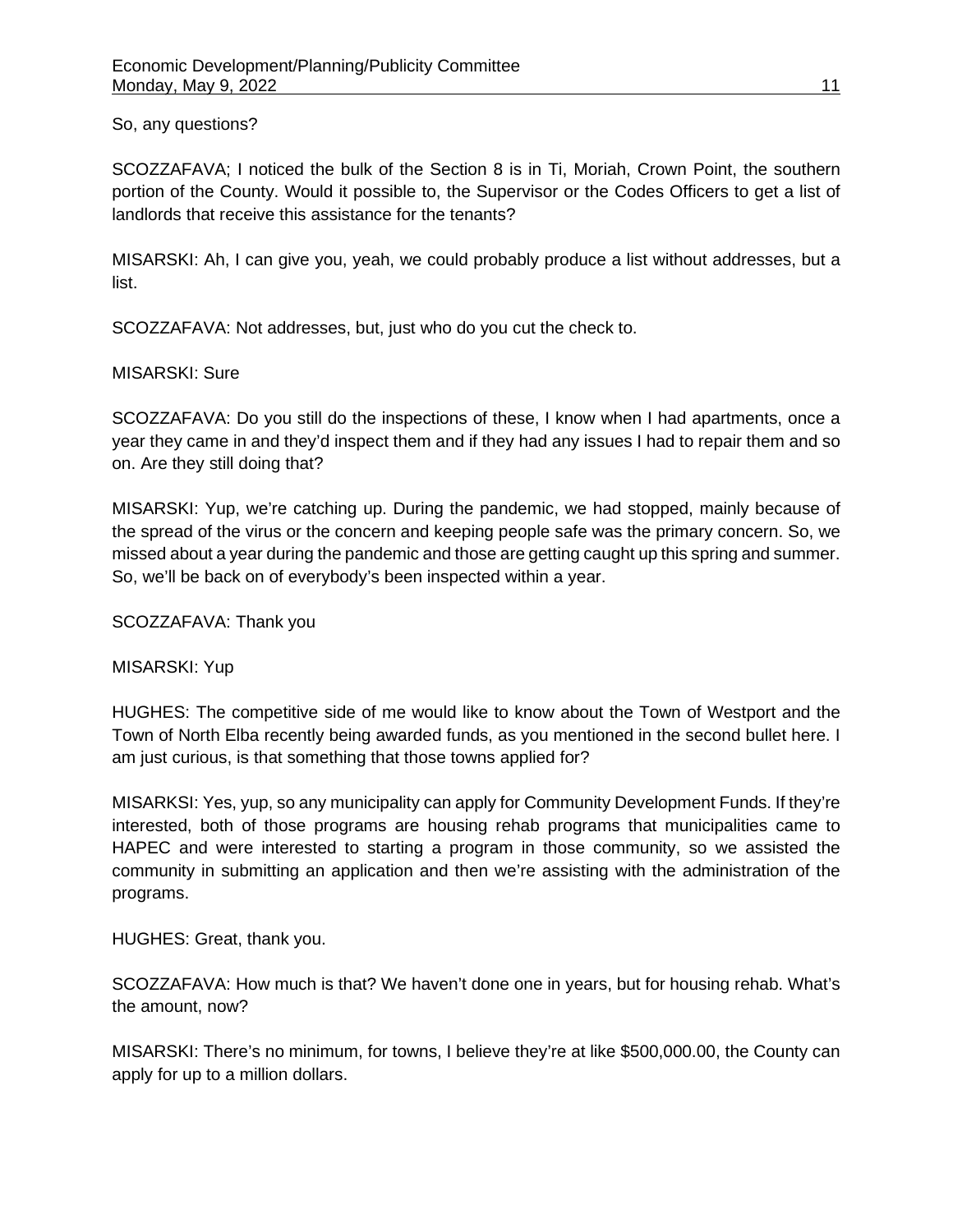#### So, any questions?

SCOZZAFAVA; I noticed the bulk of the Section 8 is in Ti, Moriah, Crown Point, the southern portion of the County. Would it possible to, the Supervisor or the Codes Officers to get a list of landlords that receive this assistance for the tenants?

MISARSKI: Ah, I can give you, yeah, we could probably produce a list without addresses, but a list.

SCOZZAFAVA: Not addresses, but, just who do you cut the check to.

#### MISARSKI: Sure

SCOZZAFAVA: Do you still do the inspections of these, I know when I had apartments, once a year they came in and they'd inspect them and if they had any issues I had to repair them and so on. Are they still doing that?

MISARSKI: Yup, we're catching up. During the pandemic, we had stopped, mainly because of the spread of the virus or the concern and keeping people safe was the primary concern. So, we missed about a year during the pandemic and those are getting caught up this spring and summer. So, we'll be back on of everybody's been inspected within a year.

SCOZZAFAVA: Thank you

MISARSKI: Yup

HUGHES: The competitive side of me would like to know about the Town of Westport and the Town of North Elba recently being awarded funds, as you mentioned in the second bullet here. I am just curious, is that something that those towns applied for?

MISARKSI: Yes, yup, so any municipality can apply for Community Development Funds. If they're interested, both of those programs are housing rehab programs that municipalities came to HAPEC and were interested to starting a program in those community, so we assisted the community in submitting an application and then we're assisting with the administration of the programs.

HUGHES: Great, thank you.

SCOZZAFAVA: How much is that? We haven't done one in years, but for housing rehab. What's the amount, now?

MISARSKI: There's no minimum, for towns, I believe they're at like \$500,000.00, the County can apply for up to a million dollars.